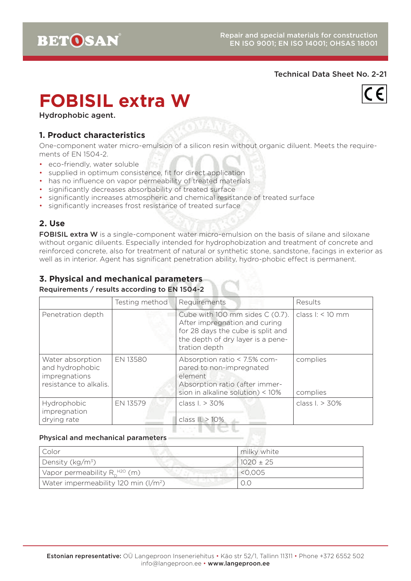#### Technical Data Sheet No. 2-21

# **FOBISIL extra W**



Hydrophobic agent.

## **1. Product characteristics**

One-component water micro-emulsion of a silicon resin without organic diluent. Meets the requirements of EN 1504-2.

- eco-friendly, water soluble
- supplied in optimum consistence, fit for direct application
- has no influence on vapor permeability of treated materials
- significantly decreases absorbability of treated surface
- significantly increases atmospheric and chemical resistance of treated surface
- significantly increases frost resistance of treated surface

## **2. Use**

FOBISIL extra W is a single-component water micro-emulsion on the basis of silane and siloxane without organic diluents. Especially intended for hydrophobization and treatment of concrete and reinforced concrete, also for treatment of natural or synthetic stone, sandstone, facings in exterior as well as in interior. Agent has significant penetration ability, hydro-phobic effect is permanent.

# **3. Physical and mechanical parameters**

#### Requirements / results according to EN 1504-2

|                                                                                | Testing method | Requirements                                                                                                                                                | Results              |
|--------------------------------------------------------------------------------|----------------|-------------------------------------------------------------------------------------------------------------------------------------------------------------|----------------------|
| Penetration depth                                                              |                | Cube with 100 mm sides C (0.7).<br>After impregnation and curing<br>for 28 days the cube is split and<br>the depth of dry layer is a pene-<br>tration depth | class $1: < 10$ mm   |
| Water absorption<br>and hydrophobic<br>impregnations<br>resistance to alkalis. | EN 13580       | Absorption ratio < 7.5% com-<br>pared to non-impregnated<br>element<br>Absorption ratio (after immer-<br>sion in alkaline solution) < $10\%$                | complies<br>complies |
| Hydrophobic<br>impregnation<br>drying rate                                     | EN 13579       | class $L > 30\%$<br>class II. > 10%                                                                                                                         | class $L > 30\%$     |

#### Physical and mechanical parameters

| Color                                            | milky white   |
|--------------------------------------------------|---------------|
| Density (kg/m <sup>3</sup> )                     | $1020 \pm 25$ |
| Vapor permeability $R_h^{\text{H2O}}$ (m)        | < 0.005       |
| Water impermeability 120 min (I/m <sup>2</sup> ) |               |

1 Y.H.N.U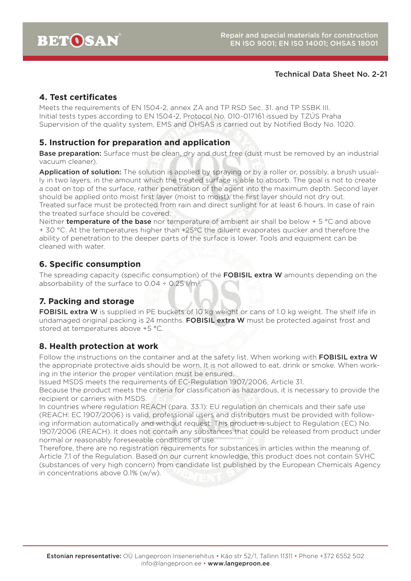## Technical Data Sheet No. 2-21

## **4. Test certificates**

Meets the requirements of EN 1504-2, annex ZA and TP RSD Sec. 31. and TP SSBK III. Initial tests types according to EN 1504-2, Protocol No. 010-017161 issued by TZÚS Praha Supervision of the quality system, EMS and OHSAS is carried out by Notified Body No. 1020.

#### **5. Instruction for preparation and application**

Base preparation: Surface must be clean, dry and dust free (dust must be removed by an industrial vacuum cleaner).

Application of solution: The solution is applied by spraying or by a roller or, possibly, a brush usually in two layers, in the amount which the treated surface is able to absorb. The goal is not to create a coat on top of the surface, rather penetration of the agent into the maximum depth. Second layer should be applied onto moist first layer (moist to moist), the first layer should not dry out. Treated surface must be protected from rain and direct sunlight for at least 6 hours. In case of rain the treated surface should be covered.

Neither **temperature of the base** nor temperature of ambient air shall be below  $+5$  °C and above + 30 °C. At the temperatures higher than +25ºC the diluent evaporates quicker and therefore the ability of penetration to the deeper parts of the surface is lower. Tools and equipment can be cleaned with water.

## **6. Specific consumption**

The spreading capacity (specific consumption) of the FOBISIL extra W amounts depending on the absorbability of the surface to  $0.04 \div 0.25$  l/m<sup>2</sup>.

## **7. Packing and storage**

FOBISIL extra W is supplied in PE buckets of 10 kg weight or cans of 1.0 kg weight. The shelf life in undamaged original packing is 24 months. FOBISIL extra W must be protected against frost and stored at temperatures above +5 °C.

## **8. Health protection at work**

Follow the instructions on the container and at the safety list. When working with FOBISIL extra W the appropriate protective aids should be worn. It is not allowed to eat, drink or smoke. When working in the interior the proper ventilation must be ensured.

Issued MSDS meets the requirements of EC-Regulation 1907/2006, Article 31.

Because the product meets the criteria for classification as hazardous, it is necessary to provide the recipient or carriers with MSDS.

In countries where regulation REACH (para. 33.1): EU regulation on chemicals and their safe use (REACH: EC 1907/2006) is valid, professional users and distributors must be provided with following information automatically and without request: This product is subject to Regulation (EC) No. 1907/2006 (REACH). It does not contain any substances that could be released from product under normal or reasonably foreseeable conditions of use.

Therefore, there are no registration requirements for substances in articles within the meaning of. Article 7.1 of the Regulation. Based on our current knowledge, this product does not contain SVHC (substances of very high concern) from candidate list published by the European Chemicals Agency in concentrations above 0.1% (w/w).